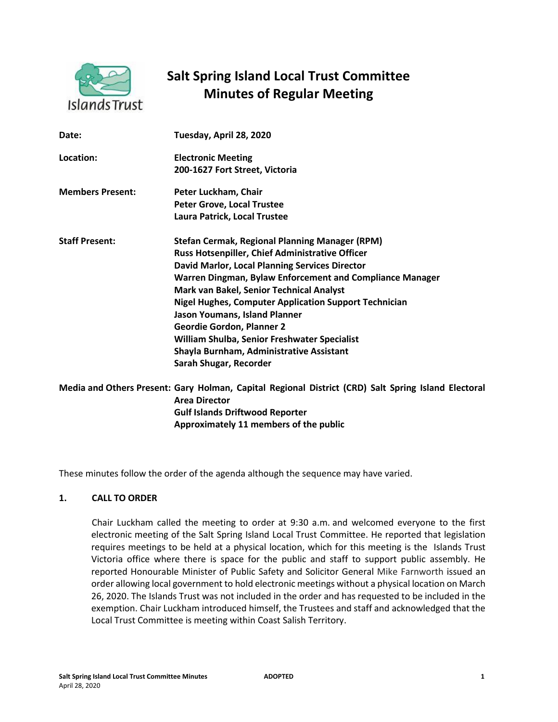

# **Salt Spring Island Local Trust Committee Minutes of Regular Meeting**

| Date:                   | Tuesday, April 28, 2020                                                                             |
|-------------------------|-----------------------------------------------------------------------------------------------------|
| Location:               | <b>Electronic Meeting</b>                                                                           |
|                         | 200-1627 Fort Street, Victoria                                                                      |
| <b>Members Present:</b> | Peter Luckham, Chair                                                                                |
|                         | <b>Peter Grove, Local Trustee</b>                                                                   |
|                         | Laura Patrick, Local Trustee                                                                        |
| <b>Staff Present:</b>   | <b>Stefan Cermak, Regional Planning Manager (RPM)</b>                                               |
|                         | Russ Hotsenpiller, Chief Administrative Officer                                                     |
|                         | <b>David Marlor, Local Planning Services Director</b>                                               |
|                         | Warren Dingman, Bylaw Enforcement and Compliance Manager                                            |
|                         | Mark van Bakel, Senior Technical Analyst                                                            |
|                         | <b>Nigel Hughes, Computer Application Support Technician</b>                                        |
|                         | Jason Youmans, Island Planner                                                                       |
|                         | <b>Geordie Gordon, Planner 2</b>                                                                    |
|                         | William Shulba, Senior Freshwater Specialist                                                        |
|                         | Shayla Burnham, Administrative Assistant                                                            |
|                         | Sarah Shugar, Recorder                                                                              |
|                         | Media and Others Present: Gary Holman, Capital Regional District (CRD) Salt Spring Island Electoral |
|                         | <b>Area Director</b>                                                                                |
|                         | <b>Gulf Islands Driftwood Reporter</b>                                                              |
|                         | Approximately 11 members of the public                                                              |

These minutes follow the order of the agenda although the sequence may have varied.

# **1. CALL TO ORDER**

Chair Luckham called the meeting to order at 9:30 a.m. and welcomed everyone to the first electronic meeting of the Salt Spring Island Local Trust Committee. He reported that legislation requires meetings to be held at a physical location, which for this meeting is the Islands Trust Victoria office where there is space for the public and staff to support public assembly. He reported Honourable Minister of Public Safety and Solicitor General Mike Farnworth issued an order allowing local government to hold electronic meetings without a physical location on March 26, 2020. The Islands Trust was not included in the order and has requested to be included in the exemption. Chair Luckham introduced himself, the Trustees and staff and acknowledged that the Local Trust Committee is meeting within Coast Salish Territory.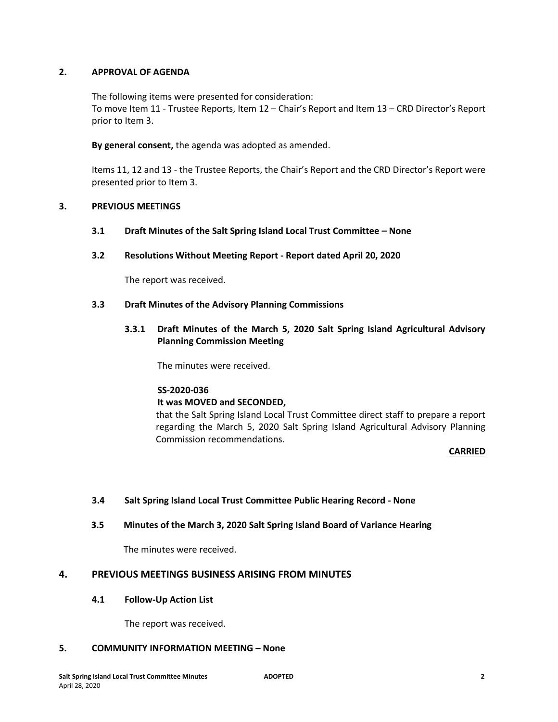# **2. APPROVAL OF AGENDA**

The following items were presented for consideration: To move Item 11 - Trustee Reports, Item 12 – Chair's Report and Item 13 – CRD Director's Report prior to Item 3.

**By general consent,** the agenda was adopted as amended.

Items 11, 12 and 13 - the Trustee Reports, the Chair's Report and the CRD Director's Report were presented prior to Item 3.

# **3. PREVIOUS MEETINGS**

- **3.1 Draft Minutes of the Salt Spring Island Local Trust Committee – None**
- **3.2 Resolutions Without Meeting Report - Report dated April 20, 2020**

The report was received.

## **3.3 Draft Minutes of the Advisory Planning Commissions**

**3.3.1 Draft Minutes of the March 5, 2020 Salt Spring Island Agricultural Advisory Planning Commission Meeting**

The minutes were received.

#### **SS-2020-036**

# **It was MOVED and SECONDED,**

that the Salt Spring Island Local Trust Committee direct staff to prepare a report regarding the March 5, 2020 Salt Spring Island Agricultural Advisory Planning Commission recommendations.

## **CARRIED**

# **3.4 Salt Spring Island Local Trust Committee Public Hearing Record - None**

# **3.5 Minutes of the March 3, 2020 Salt Spring Island Board of Variance Hearing**

The minutes were received.

# **4. PREVIOUS MEETINGS BUSINESS ARISING FROM MINUTES**

#### **4.1 Follow-Up Action List**

The report was received.

# **5. COMMUNITY INFORMATION MEETING – None**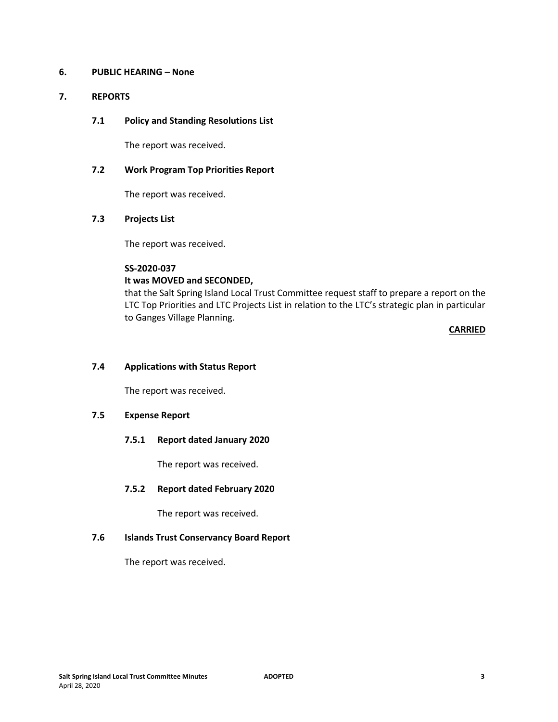# **6. PUBLIC HEARING – None**

# **7. REPORTS**

# **7.1 Policy and Standing Resolutions List**

The report was received.

# **7.2 Work Program Top Priorities Report**

The report was received.

## **7.3 Projects List**

The report was received.

# **SS-2020-037**

## **It was MOVED and SECONDED,**

that the Salt Spring Island Local Trust Committee request staff to prepare a report on the LTC Top Priorities and LTC Projects List in relation to the LTC's strategic plan in particular to Ganges Village Planning.

**CARRIED**

# **7.4 Applications with Status Report**

The report was received.

# **7.5 Expense Report**

## **7.5.1 Report dated January 2020**

The report was received.

#### **7.5.2 Report dated February 2020**

The report was received.

## **7.6 Islands Trust Conservancy Board Report**

The report was received.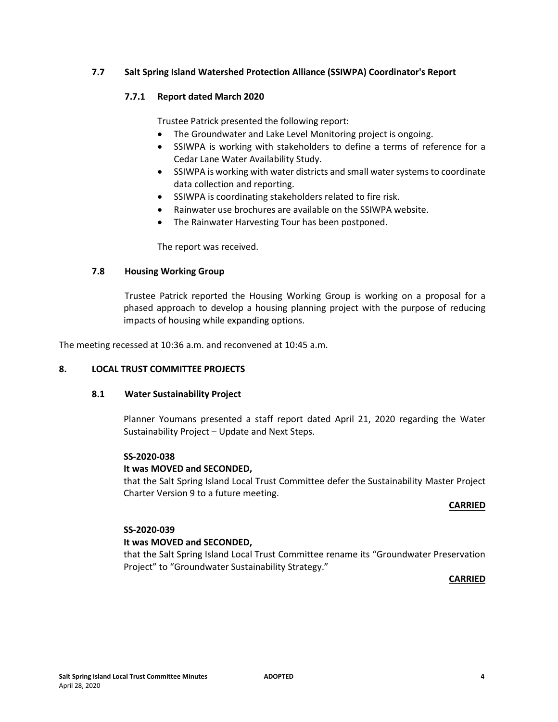# **7.7 Salt Spring Island Watershed Protection Alliance (SSIWPA) Coordinator's Report**

# **7.7.1 Report dated March 2020**

Trustee Patrick presented the following report:

- The Groundwater and Lake Level Monitoring project is ongoing.
- SSIWPA is working with stakeholders to define a terms of reference for a Cedar Lane Water Availability Study.
- SSIWPA is working with water districts and small water systems to coordinate data collection and reporting.
- SSIWPA is coordinating stakeholders related to fire risk.
- Rainwater use brochures are available on the SSIWPA website.
- The Rainwater Harvesting Tour has been postponed.

The report was received.

#### **7.8 Housing Working Group**

Trustee Patrick reported the Housing Working Group is working on a proposal for a phased approach to develop a housing planning project with the purpose of reducing impacts of housing while expanding options.

The meeting recessed at 10:36 a.m. and reconvened at 10:45 a.m.

#### **8. LOCAL TRUST COMMITTEE PROJECTS**

#### **8.1 Water Sustainability Project**

Planner Youmans presented a staff report dated April 21, 2020 regarding the Water Sustainability Project – Update and Next Steps.

## **SS-2020-038**

#### **It was MOVED and SECONDED,**

that the Salt Spring Island Local Trust Committee defer the Sustainability Master Project Charter Version 9 to a future meeting.

#### **CARRIED**

## **SS-2020-039**

#### **It was MOVED and SECONDED,**

that the Salt Spring Island Local Trust Committee rename its "Groundwater Preservation Project" to "Groundwater Sustainability Strategy."

**CARRIED**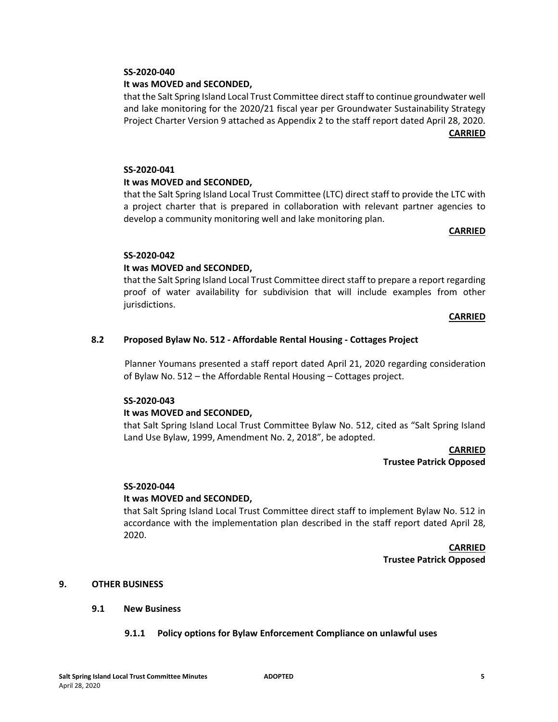# **SS-2020-040**

# **It was MOVED and SECONDED,**

that the Salt Spring Island Local Trust Committee direct staff to continue groundwater well and lake monitoring for the 2020/21 fiscal year per Groundwater Sustainability Strategy Project Charter Version 9 attached as Appendix 2 to the staff report dated April 28, 2020. **CARRIED**

# **SS-2020-041**

#### **It was MOVED and SECONDED,**

that the Salt Spring Island Local Trust Committee (LTC) direct staff to provide the LTC with a project charter that is prepared in collaboration with relevant partner agencies to develop a community monitoring well and lake monitoring plan.

#### **CARRIED**

#### **SS-2020-042**

## **It was MOVED and SECONDED,**

that the Salt Spring Island Local Trust Committee direct staff to prepare a report regarding proof of water availability for subdivision that will include examples from other jurisdictions.

#### **CARRIED**

## **8.2 Proposed Bylaw No. 512 - Affordable Rental Housing - Cottages Project**

Planner Youmans presented a staff report dated April 21, 2020 regarding consideration of Bylaw No. 512 – the Affordable Rental Housing – Cottages project.

#### **SS-2020-043**

#### **It was MOVED and SECONDED,**

that Salt Spring Island Local Trust Committee Bylaw No. 512, cited as "Salt Spring Island Land Use Bylaw, 1999, Amendment No. 2, 2018", be adopted.

> **CARRIED Trustee Patrick Opposed**

#### **SS-2020-044**

#### **It was MOVED and SECONDED,**

that Salt Spring Island Local Trust Committee direct staff to implement Bylaw No. 512 in accordance with the implementation plan described in the staff report dated April 28, 2020.

> **CARRIED Trustee Patrick Opposed**

## **9. OTHER BUSINESS**

#### **9.1 New Business**

**9.1.1 Policy options for Bylaw Enforcement Compliance on unlawful uses**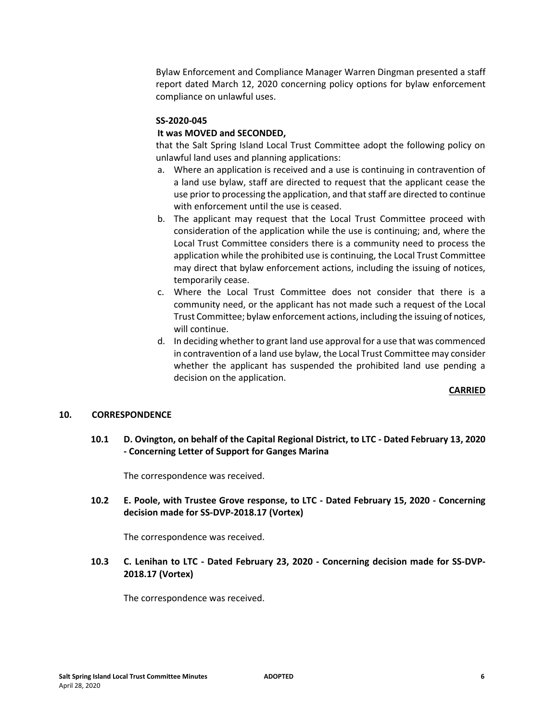Bylaw Enforcement and Compliance Manager Warren Dingman presented a staff report dated March 12, 2020 concerning policy options for bylaw enforcement compliance on unlawful uses.

## **SS-2020-045**

# **It was MOVED and SECONDED,**

that the Salt Spring Island Local Trust Committee adopt the following policy on unlawful land uses and planning applications:

- a. Where an application is received and a use is continuing in contravention of a land use bylaw, staff are directed to request that the applicant cease the use prior to processing the application, and that staff are directed to continue with enforcement until the use is ceased.
- b. The applicant may request that the Local Trust Committee proceed with consideration of the application while the use is continuing; and, where the Local Trust Committee considers there is a community need to process the application while the prohibited use is continuing, the Local Trust Committee may direct that bylaw enforcement actions, including the issuing of notices, temporarily cease.
- c. Where the Local Trust Committee does not consider that there is a community need, or the applicant has not made such a request of the Local Trust Committee; bylaw enforcement actions, including the issuing of notices, will continue.
- d. In deciding whether to grant land use approval for a use that was commenced in contravention of a land use bylaw, the Local Trust Committee may consider whether the applicant has suspended the prohibited land use pending a decision on the application.

#### **CARRIED**

#### **10. CORRESPONDENCE**

**10.1 D. Ovington, on behalf of the Capital Regional District, to LTC - Dated February 13, 2020 - Concerning Letter of Support for Ganges Marina** 

The correspondence was received.

**10.2 E. Poole, with Trustee Grove response, to LTC - Dated February 15, 2020 - Concerning decision made for SS-DVP-2018.17 (Vortex)** 

The correspondence was received.

# **10.3 C. Lenihan to LTC - Dated February 23, 2020 - Concerning decision made for SS-DVP-2018.17 (Vortex)**

The correspondence was received.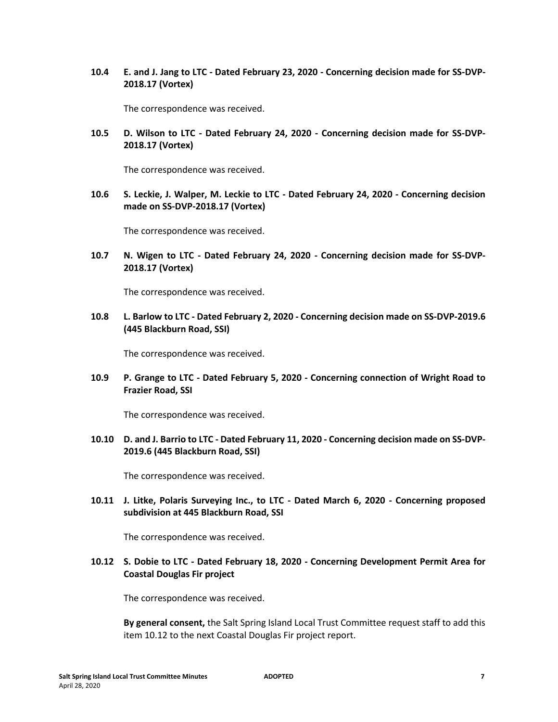**10.4 E. and J. Jang to LTC - Dated February 23, 2020 - Concerning decision made for SS-DVP-2018.17 (Vortex)** 

The correspondence was received.

**10.5 D. Wilson to LTC - Dated February 24, 2020 - Concerning decision made for SS-DVP-2018.17 (Vortex)** 

The correspondence was received.

**10.6 S. Leckie, J. Walper, M. Leckie to LTC - Dated February 24, 2020 - Concerning decision made on SS-DVP-2018.17 (Vortex)** 

The correspondence was received.

**10.7 N. Wigen to LTC - Dated February 24, 2020 - Concerning decision made for SS-DVP-2018.17 (Vortex)** 

The correspondence was received.

**10.8 L. Barlow to LTC - Dated February 2, 2020 - Concerning decision made on SS-DVP-2019.6 (445 Blackburn Road, SSI)** 

The correspondence was received.

**10.9 P. Grange to LTC - Dated February 5, 2020 - Concerning connection of Wright Road to Frazier Road, SSI**

The correspondence was received.

**10.10 D. and J. Barrio to LTC - Dated February 11, 2020 - Concerning decision made on SS-DVP-2019.6 (445 Blackburn Road, SSI)** 

The correspondence was received.

**10.11 J. Litke, Polaris Surveying Inc., to LTC - Dated March 6, 2020 - Concerning proposed subdivision at 445 Blackburn Road, SSI** 

The correspondence was received.

**10.12 S. Dobie to LTC - Dated February 18, 2020 - Concerning Development Permit Area for Coastal Douglas Fir project** 

The correspondence was received.

**By general consent,** the Salt Spring Island Local Trust Committee request staff to add this item 10.12 to the next Coastal Douglas Fir project report.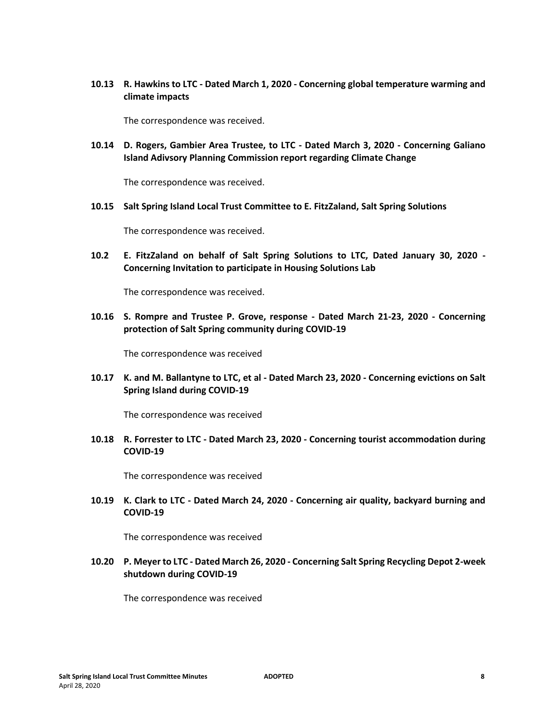**10.13 R. Hawkins to LTC - Dated March 1, 2020 - Concerning global temperature warming and climate impacts** 

The correspondence was received.

**10.14 D. Rogers, Gambier Area Trustee, to LTC - Dated March 3, 2020 - Concerning Galiano Island Adivsory Planning Commission report regarding Climate Change** 

The correspondence was received.

**10.15 Salt Spring Island Local Trust Committee to E. FitzZaland, Salt Spring Solutions**

The correspondence was received.

**10.2 E. FitzZaland on behalf of Salt Spring Solutions to LTC, Dated January 30, 2020 - Concerning Invitation to participate in Housing Solutions Lab** 

The correspondence was received.

**10.16 S. Rompre and Trustee P. Grove, response - Dated March 21-23, 2020 - Concerning protection of Salt Spring community during COVID-19**

The correspondence was received

**10.17 K. and M. Ballantyne to LTC, et al - Dated March 23, 2020 - Concerning evictions on Salt Spring Island during COVID-19** 

The correspondence was received

**10.18 R. Forrester to LTC - Dated March 23, 2020 - Concerning tourist accommodation during COVID-19** 

The correspondence was received

**10.19 K. Clark to LTC - Dated March 24, 2020 - Concerning air quality, backyard burning and COVID-19**

The correspondence was received

**10.20 P. Meyer to LTC - Dated March 26, 2020 - Concerning Salt Spring Recycling Depot 2-week shutdown during COVID-19** 

The correspondence was received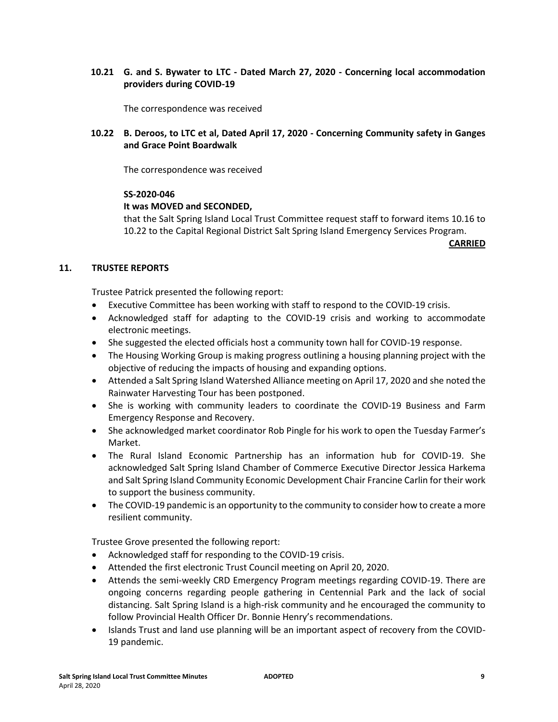# **10.21 G. and S. Bywater to LTC - Dated March 27, 2020 - Concerning local accommodation providers during COVID-19**

The correspondence was received

# **10.22 B. Deroos, to LTC et al, Dated April 17, 2020 - Concerning Community safety in Ganges and Grace Point Boardwalk**

The correspondence was received

## **SS-2020-046**

## **It was MOVED and SECONDED,**

that the Salt Spring Island Local Trust Committee request staff to forward items 10.16 to 10.22 to the Capital Regional District Salt Spring Island Emergency Services Program.

**CARRIED**

## **11. TRUSTEE REPORTS**

Trustee Patrick presented the following report:

- Executive Committee has been working with staff to respond to the COVID-19 crisis.
- Acknowledged staff for adapting to the COVID-19 crisis and working to accommodate electronic meetings.
- She suggested the elected officials host a community town hall for COVID-19 response.
- The Housing Working Group is making progress outlining a housing planning project with the objective of reducing the impacts of housing and expanding options.
- Attended a Salt Spring Island Watershed Alliance meeting on April 17, 2020 and she noted the Rainwater Harvesting Tour has been postponed.
- She is working with community leaders to coordinate the COVID-19 Business and Farm Emergency Response and Recovery.
- She acknowledged market coordinator Rob Pingle for his work to open the Tuesday Farmer's Market.
- The Rural Island Economic Partnership has an information hub for COVID-19. She acknowledged Salt Spring Island Chamber of Commerce Executive Director Jessica Harkema and Salt Spring Island Community Economic Development Chair Francine Carlin for their work to support the business community.
- The COVID-19 pandemic is an opportunity to the community to consider how to create a more resilient community.

Trustee Grove presented the following report:

- Acknowledged staff for responding to the COVID-19 crisis.
- Attended the first electronic Trust Council meeting on April 20, 2020.
- Attends the semi-weekly CRD Emergency Program meetings regarding COVID-19. There are ongoing concerns regarding people gathering in Centennial Park and the lack of social distancing. Salt Spring Island is a high-risk community and he encouraged the community to follow Provincial Health Officer Dr. Bonnie Henry's recommendations.
- Islands Trust and land use planning will be an important aspect of recovery from the COVID-19 pandemic.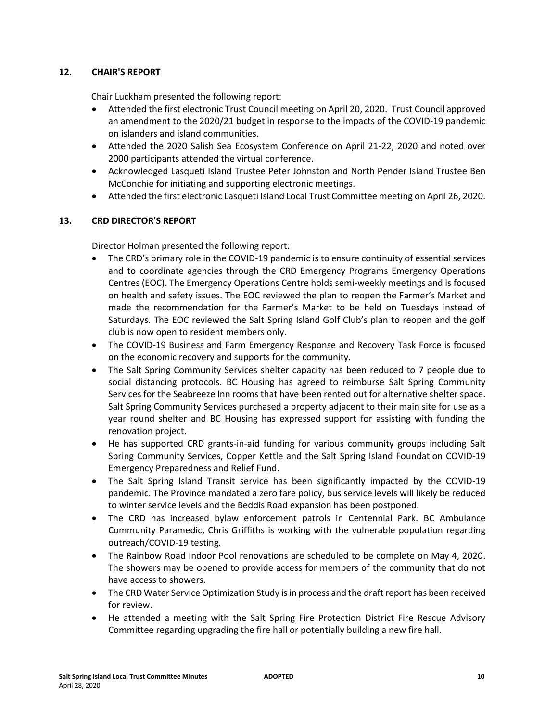# **12. CHAIR'S REPORT**

Chair Luckham presented the following report:

- Attended the first electronic Trust Council meeting on April 20, 2020. Trust Council approved an amendment to the 2020/21 budget in response to the impacts of the COVID-19 pandemic on islanders and island communities.
- Attended the 2020 Salish Sea Ecosystem Conference on April 21-22, 2020 and noted over 2000 participants attended the virtual conference.
- Acknowledged Lasqueti Island Trustee Peter Johnston and North Pender Island Trustee Ben McConchie for initiating and supporting electronic meetings.
- Attended the first electronic Lasqueti Island Local Trust Committee meeting on April 26, 2020.

# **13. CRD DIRECTOR'S REPORT**

Director Holman presented the following report:

- The CRD's primary role in the COVID-19 pandemic is to ensure continuity of essential services and to coordinate agencies through the CRD Emergency Programs Emergency Operations Centres (EOC). The Emergency Operations Centre holds semi-weekly meetings and is focused on health and safety issues. The EOC reviewed the plan to reopen the Farmer's Market and made the recommendation for the Farmer's Market to be held on Tuesdays instead of Saturdays. The EOC reviewed the Salt Spring Island Golf Club's plan to reopen and the golf club is now open to resident members only.
- The COVID-19 Business and Farm Emergency Response and Recovery Task Force is focused on the economic recovery and supports for the community.
- The Salt Spring Community Services shelter capacity has been reduced to 7 people due to social distancing protocols. BC Housing has agreed to reimburse Salt Spring Community Services for the Seabreeze Inn rooms that have been rented out for alternative shelter space. Salt Spring Community Services purchased a property adjacent to their main site for use as a year round shelter and BC Housing has expressed support for assisting with funding the renovation project.
- He has supported CRD grants-in-aid funding for various community groups including Salt Spring Community Services, Copper Kettle and the Salt Spring Island Foundation COVID-19 Emergency Preparedness and Relief Fund.
- The Salt Spring Island Transit service has been significantly impacted by the COVID-19 pandemic. The Province mandated a zero fare policy, bus service levels will likely be reduced to winter service levels and the Beddis Road expansion has been postponed.
- The CRD has increased bylaw enforcement patrols in Centennial Park. BC Ambulance Community Paramedic, Chris Griffiths is working with the vulnerable population regarding outreach/COVID-19 testing.
- The Rainbow Road Indoor Pool renovations are scheduled to be complete on May 4, 2020. The showers may be opened to provide access for members of the community that do not have access to showers.
- The CRD Water Service Optimization Study is in process and the draft report has been received for review.
- He attended a meeting with the Salt Spring Fire Protection District Fire Rescue Advisory Committee regarding upgrading the fire hall or potentially building a new fire hall.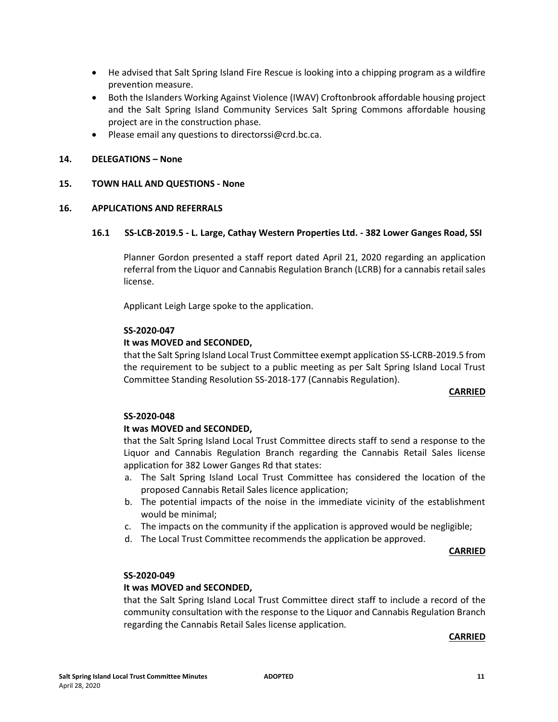- He advised that Salt Spring Island Fire Rescue is looking into a chipping program as a wildfire prevention measure.
- Both the Islanders Working Against Violence (IWAV) Croftonbrook affordable housing project and the Salt Spring Island Community Services Salt Spring Commons affordable housing project are in the construction phase.
- Please email any questions to directorssi@crd.bc.ca.

# **14. DELEGATIONS – None**

## **15. TOWN HALL AND QUESTIONS - None**

## **16. APPLICATIONS AND REFERRALS**

## **16.1 SS-LCB-2019.5 - L. Large, Cathay Western Properties Ltd. - 382 Lower Ganges Road, SSI**

Planner Gordon presented a staff report dated April 21, 2020 regarding an application referral from the Liquor and Cannabis Regulation Branch (LCRB) for a cannabis retail sales license.

Applicant Leigh Large spoke to the application.

## **SS-2020-047**

## **It was MOVED and SECONDED,**

that the Salt Spring Island Local Trust Committee exempt application SS-LCRB-2019.5 from the requirement to be subject to a public meeting as per Salt Spring Island Local Trust Committee Standing Resolution SS-2018-177 (Cannabis Regulation).

#### **CARRIED**

#### **SS-2020-048**

#### **It was MOVED and SECONDED,**

that the Salt Spring Island Local Trust Committee directs staff to send a response to the Liquor and Cannabis Regulation Branch regarding the Cannabis Retail Sales license application for 382 Lower Ganges Rd that states:

- a. The Salt Spring Island Local Trust Committee has considered the location of the proposed Cannabis Retail Sales licence application;
- b. The potential impacts of the noise in the immediate vicinity of the establishment would be minimal;
- c. The impacts on the community if the application is approved would be negligible;
- d. The Local Trust Committee recommends the application be approved.

#### **CARRIED**

#### **SS-2020-049**

# **It was MOVED and SECONDED,**

that the Salt Spring Island Local Trust Committee direct staff to include a record of the community consultation with the response to the Liquor and Cannabis Regulation Branch regarding the Cannabis Retail Sales license application.

#### **CARRIED**